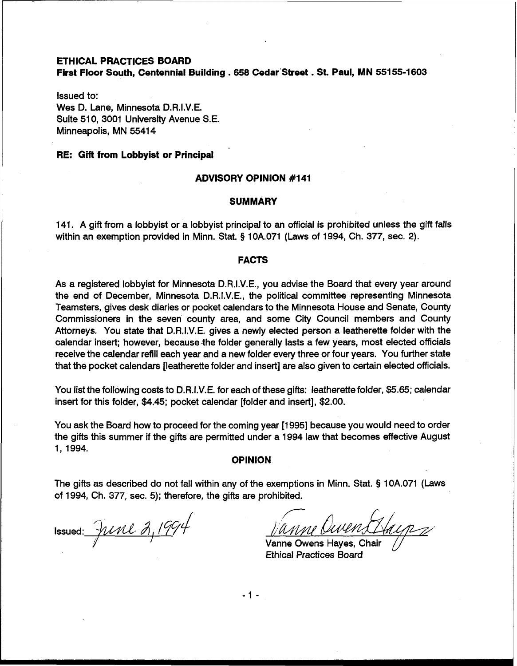### **ETHICAL PRACTICES BOARD**

**First Floor South, Centennial Building** . **658 Cedar'Street** . **St. Paul, MN 55155-1603** 

Issued to: Wes D. Lane, Minnesota D.R.I.V.E. Suite 510, 3001 University Avenue S.E. Minneapolis, MN 55414

## **RE: Gift from Lobbyist or Principal**

### **ADVISORY OPINION #I 41**

#### **SUMMARY**

141. A gift from a lobbyist or a lobbyist principal to an official is prohibited unless the gift falls within an exemption provided in Minn. Stat. **5** 10A.071 (Laws of 1994, Ch. 377, sec. 2).

### **FACTS**

As a registered lobbyist for Minnesota D.R.I.V.E., you advise the Board that every year around the end of December, Minnesota D.R.I.V.E., the political committee representing Minnesota Teamsters, gives desk diaries or pocket calendars to the Minnesota House and Senate, County Commissioners in the seven county area, and some City Council members and County Attorneys. You state that D.R.I.V.E. gives a newly elected person a leatherette folder with the calendar insert; however, because-the folder generally lasts a few years, most elected officials receive the calendar refill each year and a new folder every three or four years. You further state that the pocket calendars [leatherette folder and insert] are also given to certain elected officials.

You list the following costs to D.R.I.V.E. for each of these gifts: leatherette folder, \$5.65; calendar insert for this folder, \$4.45; pocket calendar [folder and insert], \$2.00.

You ask the Board how to proceed for the coming year [I 9951 because you would need to order the gifts this summer if the gifts are permitted under a 1994 law that becomes effective August 1, 1994.

### **OPINION**

The gifts as described do not fall within any of the exemptions in Minn. Stat. **5** 10A.071 (Laws of 1994, Ch. 377, sec. 5); therefore, the gifts are prohibited.

Issued:  $\frac{\partial \mathcal{U}}{\partial \ell}$   $\frac{\partial \mathcal{U}}{\partial \ell}$ 

/ Vanne Oi

Vanne Owens Hayes, Chair Ethical Practices Board

 $-1 -$